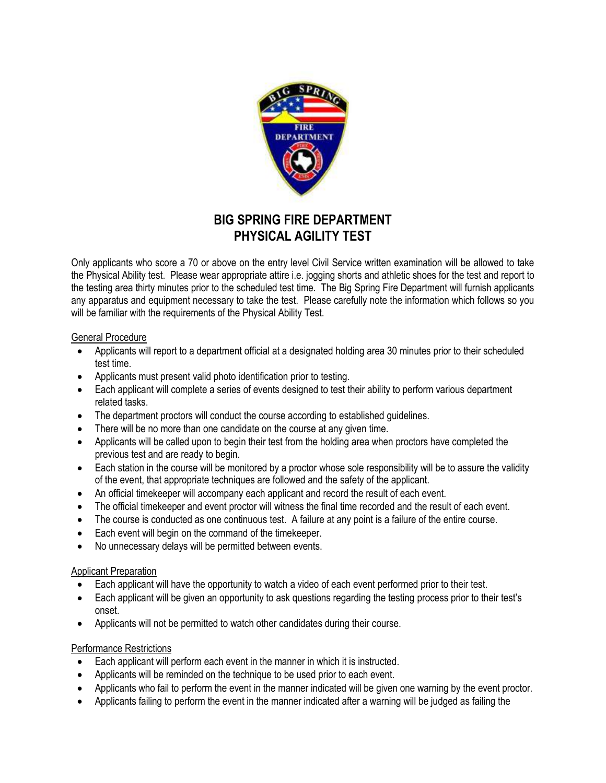

# **BIG SPRING FIRE DEPARTMENT PHYSICAL AGILITY TEST**

Only applicants who score a 70 or above on the entry level Civil Service written examination will be allowed to take the Physical Ability test. Please wear appropriate attire i.e. jogging shorts and athletic shoes for the test and report to the testing area thirty minutes prior to the scheduled test time. The Big Spring Fire Department will furnish applicants any apparatus and equipment necessary to take the test. Please carefully note the information which follows so you will be familiar with the requirements of the Physical Ability Test.

#### General Procedure

- Applicants will report to a department official at a designated holding area 30 minutes prior to their scheduled test time.
- Applicants must present valid photo identification prior to testing.
- Each applicant will complete a series of events designed to test their ability to perform various department related tasks.
- The department proctors will conduct the course according to established guidelines.
- There will be no more than one candidate on the course at any given time.
- Applicants will be called upon to begin their test from the holding area when proctors have completed the previous test and are ready to begin.
- Each station in the course will be monitored by a proctor whose sole responsibility will be to assure the validity of the event, that appropriate techniques are followed and the safety of the applicant.
- An official timekeeper will accompany each applicant and record the result of each event.
- The official timekeeper and event proctor will witness the final time recorded and the result of each event.
- The course is conducted as one continuous test. A failure at any point is a failure of the entire course.
- Each event will begin on the command of the timekeeper.
- No unnecessary delays will be permitted between events.

### Applicant Preparation

- Each applicant will have the opportunity to watch a video of each event performed prior to their test.
- Each applicant will be given an opportunity to ask questions regarding the testing process prior to their test's onset.
- Applicants will not be permitted to watch other candidates during their course.

### Performance Restrictions

- Each applicant will perform each event in the manner in which it is instructed.
- Applicants will be reminded on the technique to be used prior to each event.
- Applicants who fail to perform the event in the manner indicated will be given one warning by the event proctor.
- Applicants failing to perform the event in the manner indicated after a warning will be judged as failing the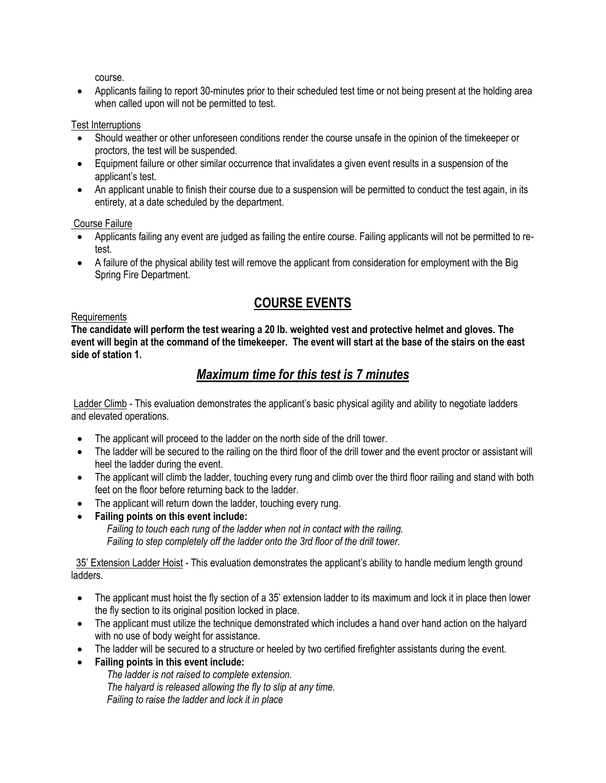course.

• Applicants failing to report 30-minutes prior to their scheduled test time or not being present at the holding area when called upon will not be permitted to test.

### Test Interruptions

- Should weather or other unforeseen conditions render the course unsafe in the opinion of the timekeeper or proctors, the test will be suspended.
- Equipment failure or other similar occurrence that invalidates a given event results in a suspension of the applicant's test.
- An applicant unable to finish their course due to a suspension will be permitted to conduct the test again, in its entirety, at a date scheduled by the department.

Course Failure

- Applicants failing any event are judged as failing the entire course. Failing applicants will not be permitted to retest.
- A failure of the physical ability test will remove the applicant from consideration for employment with the Big Spring Fire Department.

# **COURSE EVENTS**

#### Requirements

**The candidate will perform the test wearing a 20 lb. weighted vest and protective helmet and gloves. The event will begin at the command of the timekeeper***.* **The event will start at the base of the stairs on the east side of station 1.** 

## *Maximum time for this test is 7 minutes*

Ladder Climb - This evaluation demonstrates the applicant's basic physical agility and ability to negotiate ladders and elevated operations.

- The applicant will proceed to the ladder on the north side of the drill tower.
- The ladder will be secured to the railing on the third floor of the drill tower and the event proctor or assistant will heel the ladder during the event.
- The applicant will climb the ladder, touching every rung and climb over the third floor railing and stand with both feet on the floor before returning back to the ladder.
- The applicant will return down the ladder, touching every rung.
- **Failing points on this event include:**

*Failing to touch each rung of the ladder when not in contact with the railing. Failing to step completely off the ladder onto the 3rd floor of the drill tower.* 

 35' Extension Ladder Hoist - This evaluation demonstrates the applicant's ability to handle medium length ground ladders.

- The applicant must hoist the fly section of a 35' extension ladder to its maximum and lock it in place then lower the fly section to its original position locked in place.
- The applicant must utilize the technique demonstrated which includes a hand over hand action on the halyard with no use of body weight for assistance.
- The ladder will be secured to a structure or heeled by two certified firefighter assistants during the event.
- **Failing points in this event include:**

*The ladder is not raised to complete extension. The halyard is released allowing the fly to slip at any time. Failing to raise the ladder and lock it in place*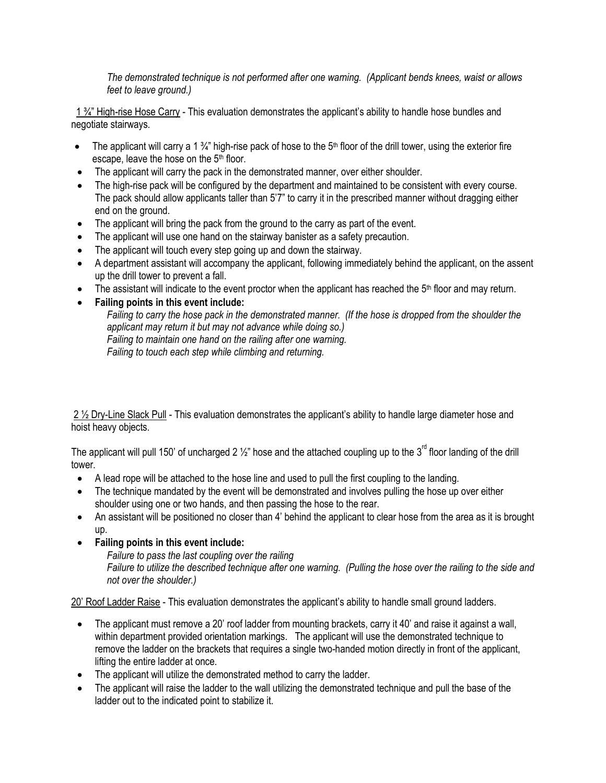*The demonstrated technique is not performed after one warning. (Applicant bends knees, waist or allows feet to leave ground.)* 

1 ¾" High-rise Hose Carry - This evaluation demonstrates the applicant's ability to handle hose bundles and negotiate stairways.

- The applicant will carry a 1  $\frac{3}{4}$ " high-rise pack of hose to the 5<sup>th</sup> floor of the drill tower, using the exterior fire escape, leave the hose on the 5<sup>th</sup> floor.
- The applicant will carry the pack in the demonstrated manner, over either shoulder.
- The high-rise pack will be configured by the department and maintained to be consistent with every course. The pack should allow applicants taller than 5'7" to carry it in the prescribed manner without dragging either end on the ground.
- The applicant will bring the pack from the ground to the carry as part of the event.
- The applicant will use one hand on the stairway banister as a safety precaution.
- The applicant will touch every step going up and down the stairway.
- A department assistant will accompany the applicant, following immediately behind the applicant, on the assent up the drill tower to prevent a fall.
- The assistant will indicate to the event proctor when the applicant has reached the  $5<sup>th</sup>$  floor and may return.
- **Failing points in this event include:**

*Failing to carry the hose pack in the demonstrated manner. (If the hose is dropped from the shoulder the applicant may return it but may not advance while doing so.) Failing to maintain one hand on the railing after one warning. Failing to touch each step while climbing and returning.*

2 ½ Dry-Line Slack Pull - This evaluation demonstrates the applicant's ability to handle large diameter hose and hoist heavy objects.

The applicant will pull 150' of uncharged 2  $\frac{1}{2}$ " hose and the attached coupling up to the 3<sup>rd</sup> floor landing of the drill tower.

- A lead rope will be attached to the hose line and used to pull the first coupling to the landing.
- The technique mandated by the event will be demonstrated and involves pulling the hose up over either shoulder using one or two hands, and then passing the hose to the rear.
- An assistant will be positioned no closer than 4' behind the applicant to clear hose from the area as it is brought up.
- **Failing points in this event include:**

*Failure to pass the last coupling over the railing* 

*Failure to utilize the described technique after one warning. (Pulling the hose over the railing to the side and not over the shoulder.)*

20' Roof Ladder Raise - This evaluation demonstrates the applicant's ability to handle small ground ladders.

- The applicant must remove a 20' roof ladder from mounting brackets, carry it 40' and raise it against a wall, within department provided orientation markings. The applicant will use the demonstrated technique to remove the ladder on the brackets that requires a single two-handed motion directly in front of the applicant, lifting the entire ladder at once.
- The applicant will utilize the demonstrated method to carry the ladder.
- The applicant will raise the ladder to the wall utilizing the demonstrated technique and pull the base of the ladder out to the indicated point to stabilize it.